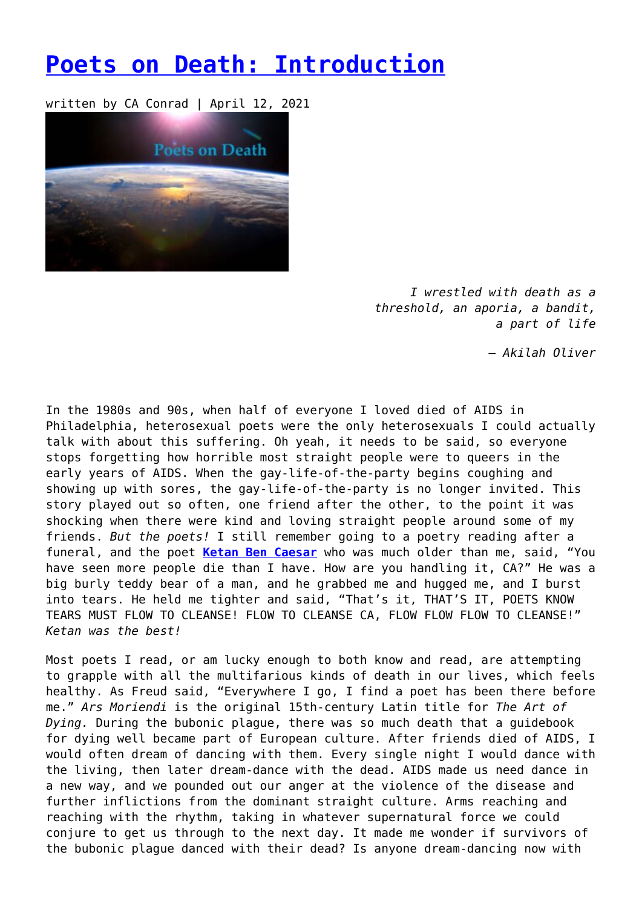## **[Poets on Death: Introduction](https://entropymag.org/poets-on-death-introduction/)**

written by CA Conrad | April 12, 2021



*I wrestled with death as a threshold, an aporia, a bandit, a part of life*

 *– Akilah Oliver*

In the 1980s and 90s, when half of everyone I loved died of AIDS in Philadelphia, heterosexual poets were the only heterosexuals I could actually talk with about this suffering. Oh yeah, it needs to be said, so everyone stops forgetting how horrible most straight people were to queers in the early years of AIDS. When the gay-life-of-the-party begins coughing and showing up with sores, the gay-life-of-the-party is no longer invited. This story played out so often, one friend after the other, to the point it was shocking when there were kind and loving straight people around some of my friends. *But the poets!* I still remember going to a poetry reading after a funeral, and the poet **[Ketan Ben Caesar](http://omoo6of1.blogspot.com/2015/09/ketan-ben-caesar.html)** who was much older than me, said, "You have seen more people die than I have. How are you handling it, CA?" He was a big burly teddy bear of a man, and he grabbed me and hugged me, and I burst into tears. He held me tighter and said, "That's it, THAT'S IT, POETS KNOW TEARS MUST FLOW TO CLEANSE! FLOW TO CLEANSE CA, FLOW FLOW FLOW TO CLEANSE!" *Ketan was the best!*

Most poets I read, or am lucky enough to both know and read, are attempting to grapple with all the multifarious kinds of death in our lives, which feels healthy. As Freud said, "Everywhere I go, I find a poet has been there before me." *Ars Moriendi* is the original 15th-century Latin title for *The Art of Dying.* During the bubonic plague, there was so much death that a guidebook for dying well became part of European culture. After friends died of AIDS, I would often dream of dancing with them. Every single night I would dance with the living, then later dream-dance with the dead. AIDS made us need dance in a new way, and we pounded out our anger at the violence of the disease and further inflictions from the dominant straight culture. Arms reaching and reaching with the rhythm, taking in whatever supernatural force we could conjure to get us through to the next day. It made me wonder if survivors of the bubonic plague danced with their dead? Is anyone dream-dancing now with